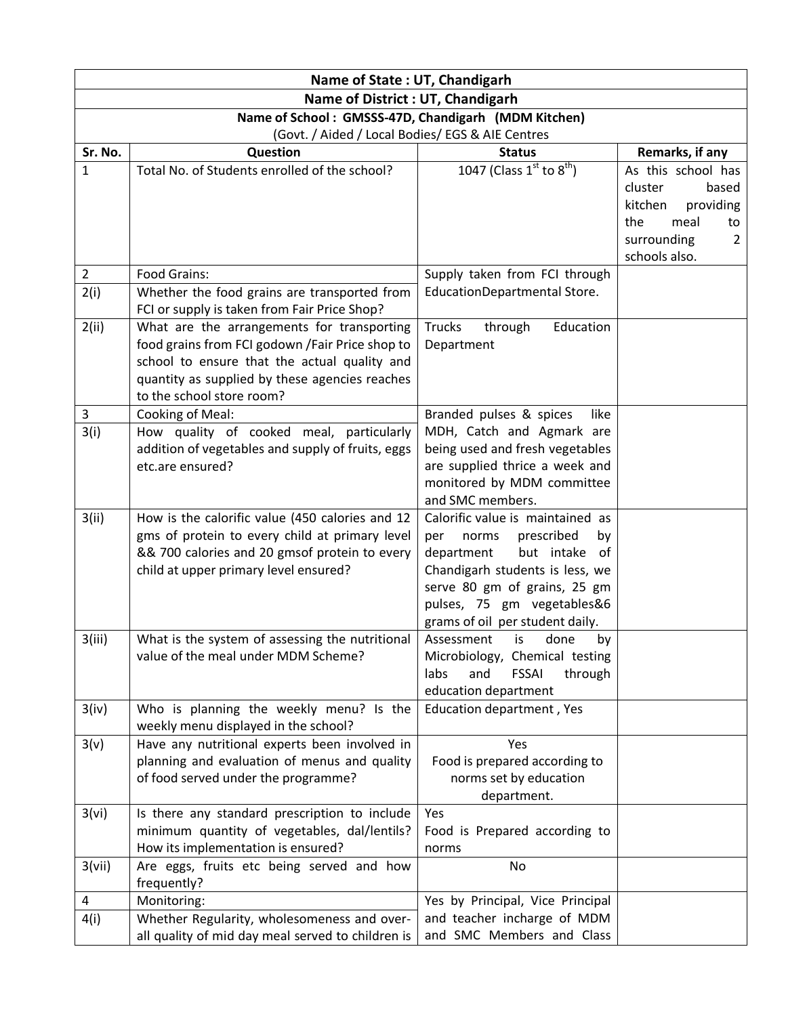| Name of State: UT, Chandigarh                       |                                                                                                 |                                                                 |                                          |
|-----------------------------------------------------|-------------------------------------------------------------------------------------------------|-----------------------------------------------------------------|------------------------------------------|
| <b>Name of District : UT, Chandigarh</b>            |                                                                                                 |                                                                 |                                          |
| Name of School: GMSSS-47D, Chandigarh (MDM Kitchen) |                                                                                                 |                                                                 |                                          |
| (Govt. / Aided / Local Bodies/ EGS & AIE Centres    |                                                                                                 |                                                                 |                                          |
| Sr. No.                                             | <b>Question</b>                                                                                 | <b>Status</b>                                                   | Remarks, if any                          |
| $\mathbf{1}$                                        | Total No. of Students enrolled of the school?                                                   | 1047 (Class $1^{st}$ to $8^{th}$ )                              | As this school has                       |
|                                                     |                                                                                                 |                                                                 | cluster<br>based<br>kitchen<br>providing |
|                                                     |                                                                                                 |                                                                 | the<br>meal<br>to                        |
|                                                     |                                                                                                 |                                                                 | surrounding<br>2                         |
|                                                     |                                                                                                 |                                                                 | schools also.                            |
| $\overline{2}$                                      | Food Grains:                                                                                    | Supply taken from FCI through                                   |                                          |
| 2(i)                                                | Whether the food grains are transported from                                                    | EducationDepartmental Store.                                    |                                          |
|                                                     | FCI or supply is taken from Fair Price Shop?                                                    |                                                                 |                                          |
| 2(ii)                                               | What are the arrangements for transporting                                                      | <b>Trucks</b><br>through<br>Education                           |                                          |
|                                                     | food grains from FCI godown / Fair Price shop to                                                | Department                                                      |                                          |
|                                                     | school to ensure that the actual quality and<br>quantity as supplied by these agencies reaches  |                                                                 |                                          |
|                                                     | to the school store room?                                                                       |                                                                 |                                          |
| 3                                                   | Cooking of Meal:                                                                                | Branded pulses & spices<br>like                                 |                                          |
| 3(i)                                                | How quality of cooked meal, particularly                                                        | MDH, Catch and Agmark are                                       |                                          |
|                                                     | addition of vegetables and supply of fruits, eggs                                               | being used and fresh vegetables                                 |                                          |
|                                                     | etc.are ensured?                                                                                | are supplied thrice a week and                                  |                                          |
|                                                     |                                                                                                 | monitored by MDM committee                                      |                                          |
|                                                     |                                                                                                 | and SMC members.                                                |                                          |
| 3(ii)                                               | How is the calorific value (450 calories and 12                                                 | Calorific value is maintained as                                |                                          |
|                                                     | gms of protein to every child at primary level<br>&& 700 calories and 20 gmsof protein to every | prescribed<br>per<br>norms<br>by<br>but intake of<br>department |                                          |
|                                                     | child at upper primary level ensured?                                                           | Chandigarh students is less, we                                 |                                          |
|                                                     |                                                                                                 | serve 80 gm of grains, 25 gm                                    |                                          |
|                                                     |                                                                                                 | pulses, 75 gm vegetables&6                                      |                                          |
|                                                     |                                                                                                 | grams of oil per student daily.                                 |                                          |
| 3(iii)                                              | What is the system of assessing the nutritional                                                 | Assessment<br>is<br>done<br>by                                  |                                          |
|                                                     | value of the meal under MDM Scheme?                                                             | Microbiology, Chemical testing                                  |                                          |
|                                                     |                                                                                                 | labs<br>and<br><b>FSSAI</b><br>through<br>education department  |                                          |
| 3(iv)                                               | Who is planning the weekly menu? Is the                                                         | Education department, Yes                                       |                                          |
|                                                     | weekly menu displayed in the school?                                                            |                                                                 |                                          |
| 3(v)                                                | Have any nutritional experts been involved in                                                   | Yes                                                             |                                          |
|                                                     | planning and evaluation of menus and quality                                                    | Food is prepared according to                                   |                                          |
|                                                     | of food served under the programme?                                                             | norms set by education                                          |                                          |
|                                                     |                                                                                                 | department.                                                     |                                          |
| 3(vi)                                               | Is there any standard prescription to include<br>minimum quantity of vegetables, dal/lentils?   | Yes<br>Food is Prepared according to                            |                                          |
|                                                     | How its implementation is ensured?                                                              | norms                                                           |                                          |
| 3(vii)                                              | Are eggs, fruits etc being served and how                                                       | No                                                              |                                          |
|                                                     | frequently?                                                                                     |                                                                 |                                          |
| 4                                                   | Monitoring:                                                                                     | Yes by Principal, Vice Principal                                |                                          |
| 4(i)                                                | Whether Regularity, wholesomeness and over-                                                     | and teacher incharge of MDM                                     |                                          |
|                                                     | all quality of mid day meal served to children is                                               | and SMC Members and Class                                       |                                          |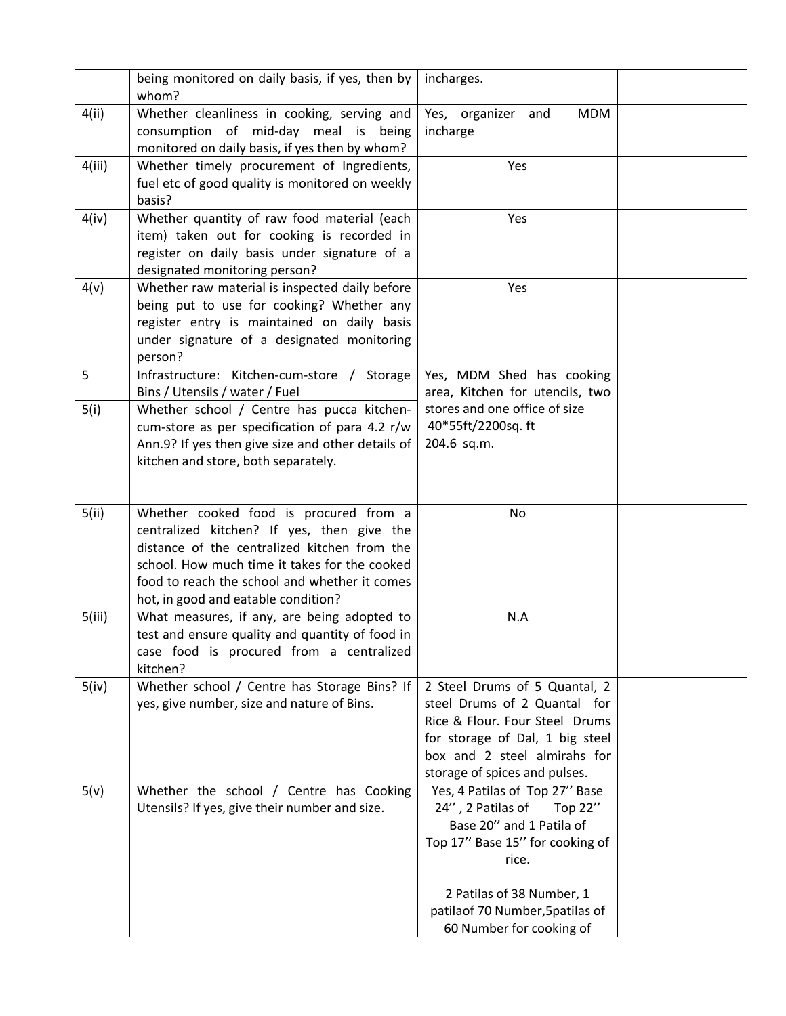|        | being monitored on daily basis, if yes, then by                                                     | incharges.                       |  |
|--------|-----------------------------------------------------------------------------------------------------|----------------------------------|--|
|        | whom?                                                                                               |                                  |  |
| 4(ii)  | Whether cleanliness in cooking, serving and                                                         | <b>MDM</b><br>Yes, organizer and |  |
|        | consumption of mid-day meal is being                                                                | incharge                         |  |
|        | monitored on daily basis, if yes then by whom?                                                      |                                  |  |
| 4(iii) | Whether timely procurement of Ingredients,                                                          | Yes                              |  |
|        | fuel etc of good quality is monitored on weekly                                                     |                                  |  |
| 4(iv)  | basis?<br>Whether quantity of raw food material (each                                               | Yes                              |  |
|        | item) taken out for cooking is recorded in                                                          |                                  |  |
|        | register on daily basis under signature of a                                                        |                                  |  |
|        | designated monitoring person?                                                                       |                                  |  |
| 4(v)   | Whether raw material is inspected daily before                                                      | Yes                              |  |
|        | being put to use for cooking? Whether any                                                           |                                  |  |
|        | register entry is maintained on daily basis                                                         |                                  |  |
|        | under signature of a designated monitoring                                                          |                                  |  |
|        | person?                                                                                             |                                  |  |
| 5      | Infrastructure: Kitchen-cum-store / Storage                                                         | Yes, MDM Shed has cooking        |  |
|        | Bins / Utensils / water / Fuel                                                                      | area, Kitchen for utencils, two  |  |
| 5(i)   | Whether school / Centre has pucca kitchen-                                                          | stores and one office of size    |  |
|        | cum-store as per specification of para 4.2 r/w<br>Ann.9? If yes then give size and other details of | 40*55ft/2200sq.ft<br>204.6 sq.m. |  |
|        | kitchen and store, both separately.                                                                 |                                  |  |
|        |                                                                                                     |                                  |  |
|        |                                                                                                     |                                  |  |
| 5(ii)  | Whether cooked food is procured from a                                                              | No                               |  |
|        | centralized kitchen? If yes, then give the                                                          |                                  |  |
|        | distance of the centralized kitchen from the                                                        |                                  |  |
|        | school. How much time it takes for the cooked                                                       |                                  |  |
|        | food to reach the school and whether it comes                                                       |                                  |  |
| 5(iii) | hot, in good and eatable condition?<br>What measures, if any, are being adopted to                  | N.A                              |  |
|        | test and ensure quality and quantity of food in                                                     |                                  |  |
|        |                                                                                                     |                                  |  |
|        |                                                                                                     |                                  |  |
|        | case food is procured from a centralized<br>kitchen?                                                |                                  |  |
| 5(iv)  | Whether school / Centre has Storage Bins? If                                                        | 2 Steel Drums of 5 Quantal, 2    |  |
|        | yes, give number, size and nature of Bins.                                                          | steel Drums of 2 Quantal for     |  |
|        |                                                                                                     | Rice & Flour. Four Steel Drums   |  |
|        |                                                                                                     | for storage of Dal, 1 big steel  |  |
|        |                                                                                                     | box and 2 steel almirahs for     |  |
|        |                                                                                                     | storage of spices and pulses.    |  |
| 5(v)   | Whether the school / Centre has Cooking                                                             | Yes, 4 Patilas of Top 27" Base   |  |
|        | Utensils? If yes, give their number and size.                                                       | 24", 2 Patilas of<br>Top 22"     |  |
|        |                                                                                                     | Base 20" and 1 Patila of         |  |
|        |                                                                                                     | Top 17" Base 15" for cooking of  |  |
|        |                                                                                                     | rice.                            |  |
|        |                                                                                                     | 2 Patilas of 38 Number, 1        |  |
|        |                                                                                                     | patilaof 70 Number, 5 patilas of |  |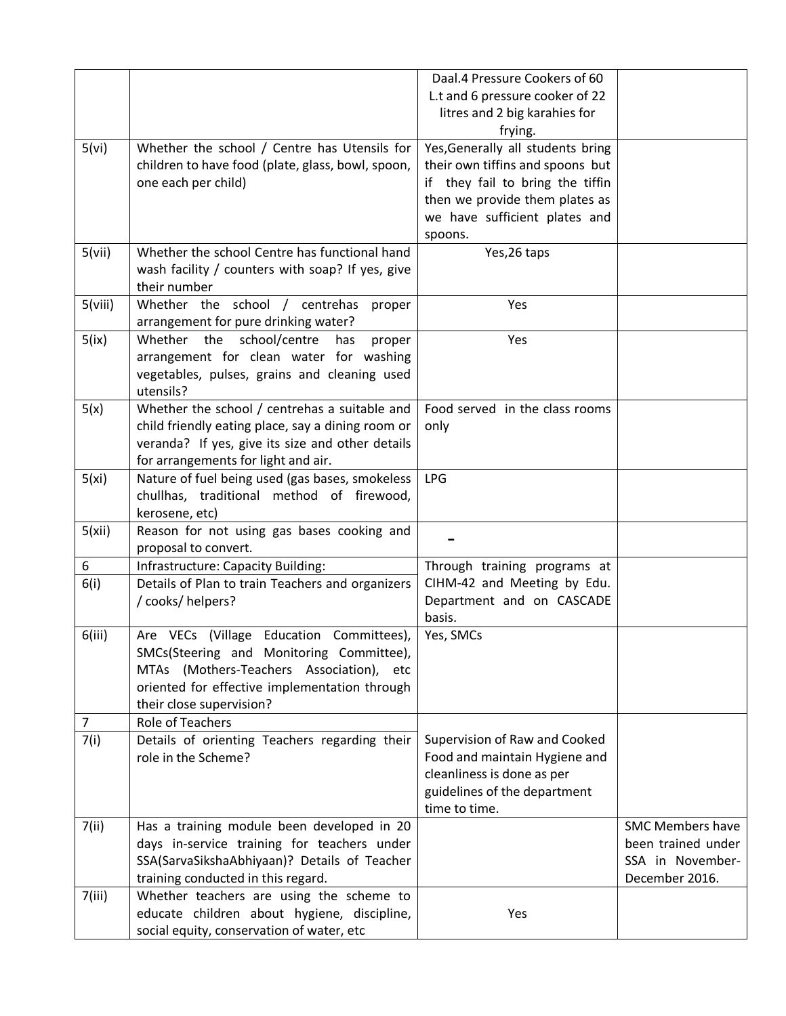|                |                                                   | Daal.4 Pressure Cookers of 60     |                         |
|----------------|---------------------------------------------------|-----------------------------------|-------------------------|
|                |                                                   | L.t and 6 pressure cooker of 22   |                         |
|                |                                                   | litres and 2 big karahies for     |                         |
|                |                                                   | frying.                           |                         |
| 5(vi)          | Whether the school / Centre has Utensils for      | Yes, Generally all students bring |                         |
|                | children to have food (plate, glass, bowl, spoon, | their own tiffins and spoons but  |                         |
|                | one each per child)                               | if they fail to bring the tiffin  |                         |
|                |                                                   | then we provide them plates as    |                         |
|                |                                                   | we have sufficient plates and     |                         |
|                |                                                   | spoons.                           |                         |
| 5(vii)         | Whether the school Centre has functional hand     | Yes, 26 taps                      |                         |
|                | wash facility / counters with soap? If yes, give  |                                   |                         |
|                | their number                                      |                                   |                         |
| 5(viii)        | Whether the school / centrehas proper             | Yes                               |                         |
|                | arrangement for pure drinking water?              |                                   |                         |
| 5(ix)          | the<br>school/centre<br>Whether<br>has<br>proper  | Yes                               |                         |
|                | arrangement for clean water for washing           |                                   |                         |
|                | vegetables, pulses, grains and cleaning used      |                                   |                         |
|                | utensils?                                         |                                   |                         |
| 5(x)           | Whether the school / centrehas a suitable and     | Food served in the class rooms    |                         |
|                | child friendly eating place, say a dining room or | only                              |                         |
|                | veranda? If yes, give its size and other details  |                                   |                         |
|                | for arrangements for light and air.               |                                   |                         |
| 5(xi)          | Nature of fuel being used (gas bases, smokeless   | <b>LPG</b>                        |                         |
|                | chullhas, traditional method of firewood,         |                                   |                         |
|                | kerosene, etc)                                    |                                   |                         |
| 5(xii)         | Reason for not using gas bases cooking and        |                                   |                         |
|                | proposal to convert.                              |                                   |                         |
| 6              | Infrastructure: Capacity Building:                | Through training programs at      |                         |
| 6(i)           | Details of Plan to train Teachers and organizers  | CIHM-42 and Meeting by Edu.       |                         |
|                | / cooks/ helpers?                                 | Department and on CASCADE         |                         |
|                |                                                   | basis.                            |                         |
| 6(iii)         | Are VECs (Village Education Committees),          | Yes, SMCs                         |                         |
|                | SMCs(Steering and Monitoring Committee),          |                                   |                         |
|                | MTAs (Mothers-Teachers Association), etc          |                                   |                         |
|                | oriented for effective implementation through     |                                   |                         |
|                | their close supervision?                          |                                   |                         |
| $\overline{7}$ | Role of Teachers                                  |                                   |                         |
| 7(i)           | Details of orienting Teachers regarding their     | Supervision of Raw and Cooked     |                         |
|                | role in the Scheme?                               | Food and maintain Hygiene and     |                         |
|                |                                                   | cleanliness is done as per        |                         |
|                |                                                   | guidelines of the department      |                         |
|                |                                                   | time to time.                     |                         |
| 7(ii)          | Has a training module been developed in 20        |                                   | <b>SMC Members have</b> |
|                | days in-service training for teachers under       |                                   | been trained under      |
|                | SSA(SarvaSikshaAbhiyaan)? Details of Teacher      |                                   | SSA in November-        |
|                | training conducted in this regard.                |                                   | December 2016.          |
| 7(iii)         | Whether teachers are using the scheme to          |                                   |                         |
|                | educate children about hygiene, discipline,       | Yes                               |                         |
|                | social equity, conservation of water, etc         |                                   |                         |
|                |                                                   |                                   |                         |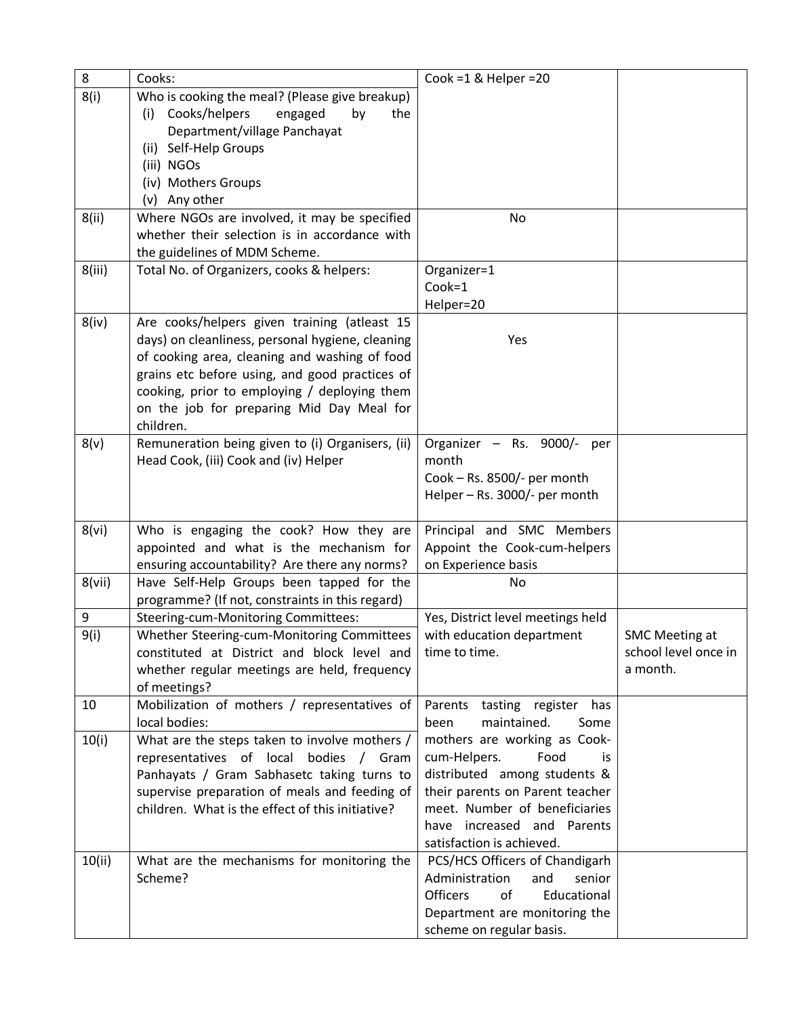| 8      | Cooks:                                                                                            | Cook =1 & Helper =20                                              |                       |
|--------|---------------------------------------------------------------------------------------------------|-------------------------------------------------------------------|-----------------------|
| 8(i)   | Who is cooking the meal? (Please give breakup)                                                    |                                                                   |                       |
|        | Cooks/helpers<br>engaged<br>(i)<br>by<br>the                                                      |                                                                   |                       |
|        | Department/village Panchayat                                                                      |                                                                   |                       |
|        | (ii) Self-Help Groups                                                                             |                                                                   |                       |
|        | (iii) NGOs                                                                                        |                                                                   |                       |
|        | (iv) Mothers Groups                                                                               |                                                                   |                       |
|        | (v) Any other                                                                                     |                                                                   |                       |
| 8(ii)  | Where NGOs are involved, it may be specified                                                      | No                                                                |                       |
|        | whether their selection is in accordance with                                                     |                                                                   |                       |
|        | the guidelines of MDM Scheme.                                                                     |                                                                   |                       |
| 8(iii) | Total No. of Organizers, cooks & helpers:                                                         | Organizer=1                                                       |                       |
|        |                                                                                                   | Cook=1                                                            |                       |
|        |                                                                                                   | Helper=20                                                         |                       |
| 8(iv)  | Are cooks/helpers given training (atleast 15                                                      |                                                                   |                       |
|        | days) on cleanliness, personal hygiene, cleaning                                                  | Yes                                                               |                       |
|        | of cooking area, cleaning and washing of food                                                     |                                                                   |                       |
|        | grains etc before using, and good practices of                                                    |                                                                   |                       |
|        | cooking, prior to employing / deploying them                                                      |                                                                   |                       |
|        | on the job for preparing Mid Day Meal for                                                         |                                                                   |                       |
|        | children.                                                                                         |                                                                   |                       |
| 8(v)   | Remuneration being given to (i) Organisers, (ii)                                                  | Organizer - Rs. 9000/-<br>per                                     |                       |
|        | Head Cook, (iii) Cook and (iv) Helper                                                             | month                                                             |                       |
|        |                                                                                                   | Cook - Rs. 8500/- per month                                       |                       |
|        |                                                                                                   | Helper - Rs. 3000/- per month                                     |                       |
|        |                                                                                                   |                                                                   |                       |
| 8(vi)  | Who is engaging the cook? How they are                                                            | Principal and SMC Members                                         |                       |
|        | appointed and what is the mechanism for                                                           | Appoint the Cook-cum-helpers                                      |                       |
|        | ensuring accountability? Are there any norms?                                                     | on Experience basis                                               |                       |
| 8(vii) | Have Self-Help Groups been tapped for the                                                         | No                                                                |                       |
|        | programme? (If not, constraints in this regard)                                                   |                                                                   |                       |
| 9      | Steering-cum-Monitoring Committees:                                                               | Yes, District level meetings held                                 |                       |
| 9(i)   | Whether Steering-cum-Monitoring Committees                                                        | with education department                                         | <b>SMC Meeting at</b> |
|        | constituted at District and block level and                                                       | time to time.                                                     | school level once in  |
|        |                                                                                                   |                                                                   |                       |
|        |                                                                                                   |                                                                   | a month.              |
| 10     | whether regular meetings are held, frequency<br>of meetings?                                      |                                                                   |                       |
|        | Mobilization of mothers / representatives of                                                      | Parents<br>tasting register<br>has                                |                       |
|        | local bodies:                                                                                     | maintained.<br>been<br>Some                                       |                       |
| 10(i)  | What are the steps taken to involve mothers /                                                     | mothers are working as Cook-                                      |                       |
|        | Gram                                                                                              | cum-Helpers.<br>Food<br>is                                        |                       |
|        | representatives of local bodies /<br>Panhayats / Gram Sabhasetc taking turns to                   | distributed among students &                                      |                       |
|        |                                                                                                   | their parents on Parent teacher                                   |                       |
|        | supervise preparation of meals and feeding of<br>children. What is the effect of this initiative? | meet. Number of beneficiaries                                     |                       |
|        |                                                                                                   | have increased and Parents                                        |                       |
|        |                                                                                                   | satisfaction is achieved.                                         |                       |
|        |                                                                                                   |                                                                   |                       |
| 10(ii) | What are the mechanisms for monitoring the<br>Scheme?                                             | PCS/HCS Officers of Chandigarh<br>Administration<br>senior<br>and |                       |
|        |                                                                                                   | <b>Officers</b><br>Educational<br>οf                              |                       |
|        |                                                                                                   | Department are monitoring the                                     |                       |